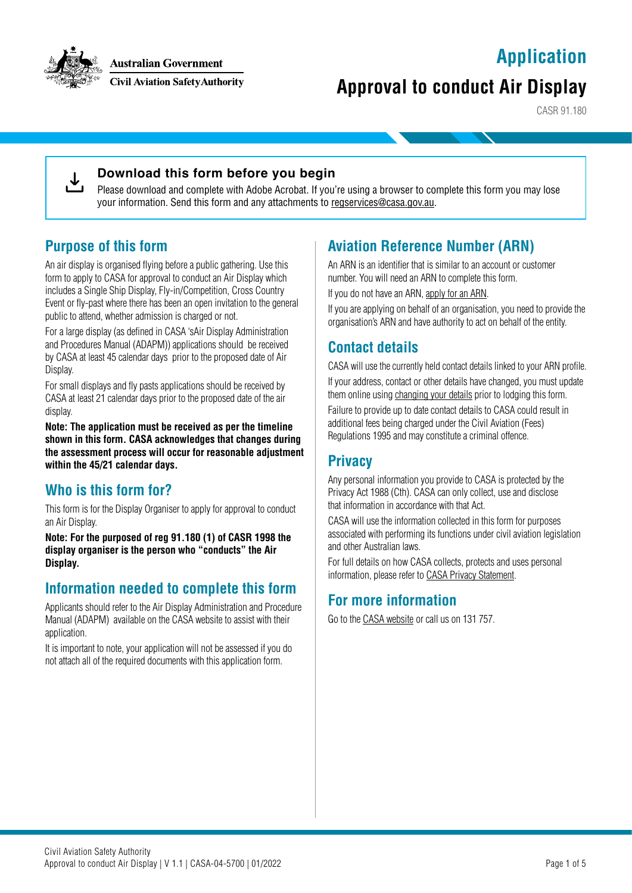## **Application**



**Australian Government** 

**Civil Aviation Safety Authority** 

# **Approval to conduct Air Display**

CASR 91.180



#### **Download this form before you begin**

Please download and complete with Adobe Acrobat. If you're using a browser to complete this form you may lose your information. Send this form and any attachments to [regservices@casa.gov.au](mailto:regservices%40casa.gov.au?subject=).

### **Purpose of this form**

An air display is organised flying before a public gathering. Use this form to apply to CASA for approval to conduct an Air Display which includes a Single Ship Display, Fly-in/Competition, Cross Country Event or fly-past where there has been an open invitation to the general public to attend, whether admission is charged or not.

For a large display (as defined in CASA 'sAir Display Administration and Procedures Manual (ADAPM)) applications should be received by CASA at least 45 calendar days prior to the proposed date of Air Display.

For small displays and fly pasts applications should be received by CASA at least 21 calendar days prior to the proposed date of the air display.

**Note: The application must be received as per the timeline shown in this form. CASA acknowledges that changes during the assessment process will occur for reasonable adjustment within the 45/21 calendar days.**

### **Who is this form for?**

This form is for the Display Organiser to apply for approval to conduct an Air Display.

**Note: For the purposed of reg 91.180 (1) of CASR 1998 the display organiser is the person who "conducts" the Air Display.**

### **Information needed to complete this form**

Applicants should refer to the Air Display Administration and Procedure Manual (ADAPM) available on the CASA website to assist with their application.

It is important to note, your application will not be assessed if you do not attach all of the required documents with this application form.

### **Aviation Reference Number (ARN)**

An ARN is an identifier that is similar to an account or customer number. You will need an ARN to complete this form.

If you do not have an ARN, [apply for an ARN](https://www.casa.gov.au/licences-and-certification/individual-licensing/aviation-reference-numbers).

If you are applying on behalf of an organisation, you need to provide the organisation's ARN and have authority to act on behalf of the entity.

### **Contact details**

CASA will use the currently held contact details linked to your ARN profile.

If your address, contact or other details have changed, you must update them online using [changing your details](https://www.casa.gov.au/resources-and-education/our-systems/mycasa-portal/changing-your-details) prior to lodging this form.

Failure to provide up to date contact details to CASA could result in additional fees being charged under the Civil Aviation (Fees) Regulations 1995 and may constitute a criminal offence.

### **Privacy**

Any personal information you provide to CASA is protected by the Privacy Act 1988 (Cth). CASA can only collect, use and disclose that information in accordance with that Act.

CASA will use the information collected in this form for purposes associated with performing its functions under civil aviation legislation and other Australian laws.

For full details on how CASA collects, protects and uses personal information, please refer to [CASA Privacy Statement.](https://www.casa.gov.au/about-us/site-information/privacy-statement)

### **For more information**

Go to the [CASA website](http://www.casa.gov.au) or call us on 131 757.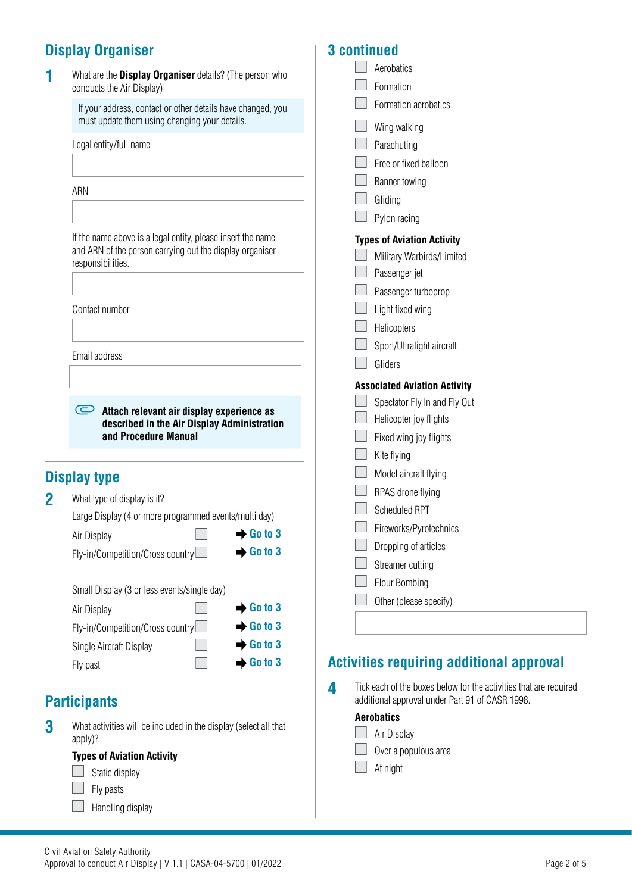## **Display Organiser**

| 1        | What are the <b>Display Organiser</b> details? (The person who<br>conducts the Air Display)                      | Aerobatics<br>Formation                                                                                                   |
|----------|------------------------------------------------------------------------------------------------------------------|---------------------------------------------------------------------------------------------------------------------------|
|          | If your address, contact or other details have changed, you                                                      | Formation aerobatics                                                                                                      |
|          | must update them using changing your details.                                                                    | Wing walking                                                                                                              |
|          | Legal entity/full name                                                                                           | Parachuting                                                                                                               |
|          |                                                                                                                  | Free or fixed balloon                                                                                                     |
|          |                                                                                                                  | Banner towing                                                                                                             |
|          | ARN                                                                                                              | Gliding                                                                                                                   |
|          |                                                                                                                  | Pylon racing                                                                                                              |
|          | If the name above is a legal entity, please insert the name                                                      | <b>Types of Aviation Activity</b>                                                                                         |
|          | and ARN of the person carrying out the display organiser                                                         | Military Warbirds/Limited                                                                                                 |
|          | responsibilities.                                                                                                | Passenger jet                                                                                                             |
|          |                                                                                                                  | Passenger turboprop                                                                                                       |
|          | Contact number                                                                                                   | Light fixed wing                                                                                                          |
|          |                                                                                                                  | Helicopters                                                                                                               |
|          |                                                                                                                  | Sport/Ultralight aircraft                                                                                                 |
|          | Email address                                                                                                    | Gliders                                                                                                                   |
|          |                                                                                                                  | <b>Associated Aviation Activity</b>                                                                                       |
|          | Attach relevant air display experience as<br>described in the Air Display Administration<br>and Procedure Manual | Spectator Fly In and Fly Out                                                                                              |
|          |                                                                                                                  | Helicopter joy flights                                                                                                    |
|          |                                                                                                                  | Fixed wing joy flights                                                                                                    |
|          |                                                                                                                  | Kite flying                                                                                                               |
|          | <b>Display type</b>                                                                                              | Model aircraft flying                                                                                                     |
| $\bf{2}$ | What type of display is it?                                                                                      | RPAS drone flying                                                                                                         |
|          | Large Display (4 or more programmed events/multi day)                                                            | Scheduled RPT                                                                                                             |
|          | $\rightarrow$ Go to 3<br>Air Display                                                                             | Fireworks/Pyrotechnics                                                                                                    |
|          | $\rightarrow$ Go to 3<br>Fly-in/Competition/Cross country                                                        | Dropping of articles                                                                                                      |
|          |                                                                                                                  | Streamer cutting                                                                                                          |
|          | Small Display (3 or less events/single day)                                                                      | Flour Bombing                                                                                                             |
|          | $\rightarrow$ Go to 3<br>Air Display                                                                             | Other (please specify)                                                                                                    |
|          | Go to 3<br>Fly-in/Competition/Cross country                                                                      |                                                                                                                           |
|          | $\rightarrow$ Go to 3<br>Single Aircraft Display                                                                 |                                                                                                                           |
|          | $\rightarrow$ Go to 3<br>Fly past                                                                                | <b>Activities requiring additional approval</b>                                                                           |
|          |                                                                                                                  |                                                                                                                           |
|          | <b>Participants</b>                                                                                              | 4<br>Tick each of the boxes below for the activities that are required<br>additional approval under Part 91 of CASR 1998. |
|          |                                                                                                                  | <b>Aerobatics</b>                                                                                                         |
| 3        | What activities will be included in the display (select all that<br>apply)?                                      | Air Display                                                                                                               |
|          | Tunge of Aviation Activity                                                                                       | Over a populous area                                                                                                      |

**3 continued**

At night

 $\Box$  Static display

**Types of Aviation Activity**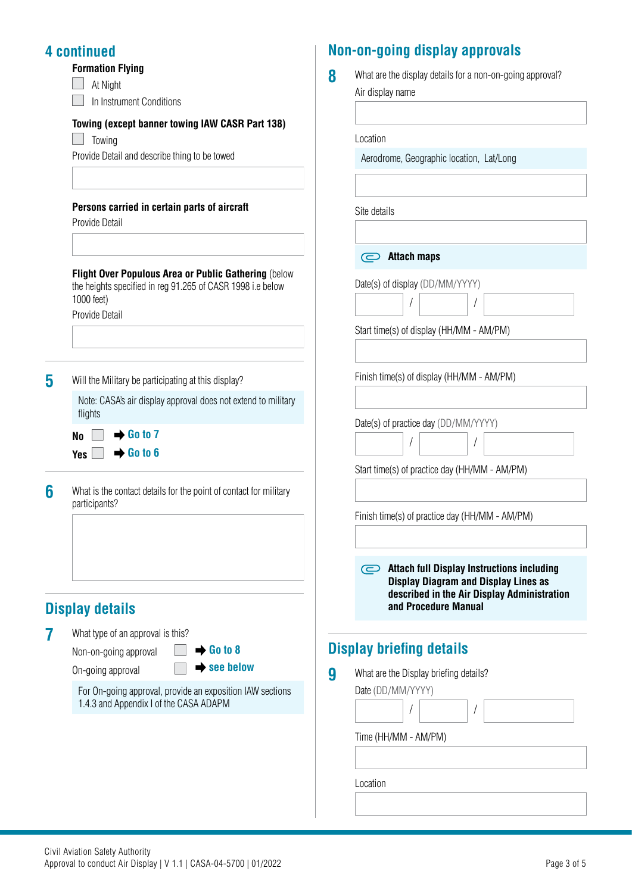### **4 continued**

 $\overline{\phantom{a}}$  $\Box$ 

At Night

In Instrument Conditions

#### **Towing (except banner towing IAW CASR Part 138)**

 $\Box$  Towing

Provide Detail and describe thing to be towed

#### **Persons carried in certain parts of aircraft**

Provide Detail

**Flight Over Populous Area or Public Gathering** (below the heights specified in reg 91.265 of CASR 1998 i.e below 1000 feet)

Provide Detail

**5** Will the Military be participating at this display?

Note: CASA's air display approval does not extend to military flights

 $N_0 \Box \rightarrow$  Go to 7  $Yes \nightharpoonup Go$  to 6

**6** What is the contact details for the point of contact for military participants?

## **Display details**

- **7** What type of an approval is this? Non-on-going approval **Go to 8** 
	-

On-going approval **see below**

For On-going approval, provide an exposition IAW sections 1.4.3 and Appendix I of the CASA ADAPM

## **Non-on-going display approvals**

Location

Site details

**Attach maps**

 $\begin{array}{c} \end{array}$ /

Date(s) of display (DD/MM/YYYY)

Start time(s) of display (HH/MM - AM/PM)

Finish time(s) of display (HH/MM - AM/PM)

Start time(s) of practice day (HH/MM - AM/PM)

Date(s) of practice day (DD/MM/YYYY)

 $\begin{array}{c} \end{array}$ / /

/

| 8 | What are the display details for a non-on-going approval? |
|---|-----------------------------------------------------------|
|   | Air display name                                          |
|   |                                                           |
|   |                                                           |

Aerodrome, Geographic location, Lat/Long

Finish time(s) of practice day (HH/MM - AM/PM) **Attach full Display Instructions including Display Diagram and Display Lines as described in the Air Display Administration and Procedure Manual**

## **Display briefing details**

**9** What are the Display briefing details?

Date (DD/MM/YYYY)

 $\begin{array}{c} \end{array}$ / / Time (HH/MM - AM/PM)

Location

Civil Aviation Safety Authority Approval to conduct Air Display | V 1.1 | CASA-04-5700 | 01/2022 **Page 3 of 5** Page 3 of 5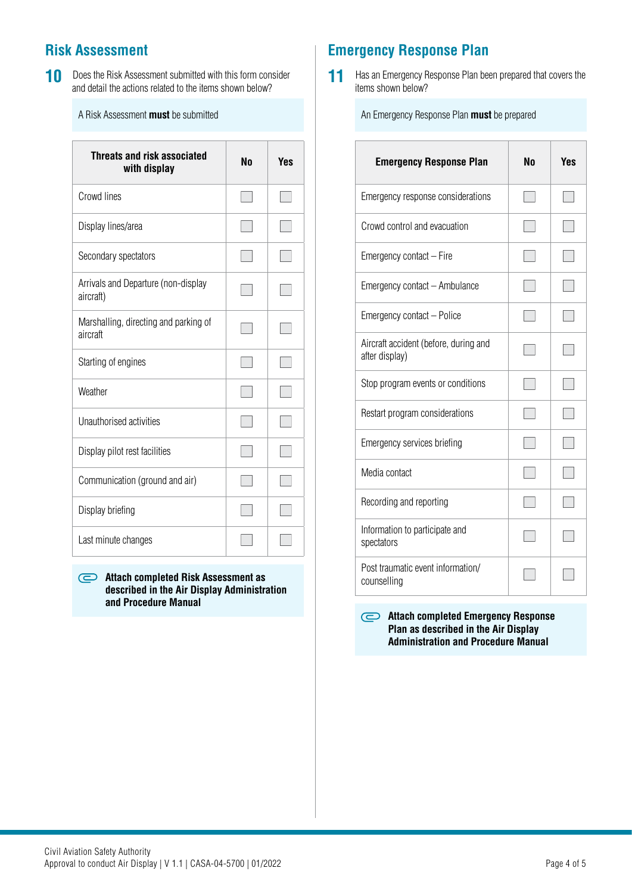## **Risk Assessment**

**10** Does the Risk Assessment submitted with this form consider and detail the actions related to the items shown below?

A Risk Assessment **must** be submitted

| <b>Threats and risk associated</b><br>with display | Nη | Yes |
|----------------------------------------------------|----|-----|
| Crowd lines                                        |    |     |
| Display lines/area                                 |    |     |
| Secondary spectators                               |    |     |
| Arrivals and Departure (non-display<br>aircraft)   |    |     |
| Marshalling, directing and parking of<br>aircraft  |    |     |
| Starting of engines                                |    |     |
| Weather                                            |    |     |
| Unauthorised activities                            |    |     |
| Display pilot rest facilities                      |    |     |
| Communication (ground and air)                     |    |     |
| Display briefing                                   |    |     |
| Last minute changes                                |    |     |

#### **Attach completed Risk Assessment as described in the Air Display Administration and Procedure Manual**

## **Emergency Response Plan**

**11** Has an Emergency Response Plan been prepared that covers the items shown below?

An Emergency Response Plan **must** be prepared

| <b>Emergency Response Plan</b>                          | Nη | Yes |
|---------------------------------------------------------|----|-----|
| Emergency response considerations                       |    |     |
| Crowd control and evacuation                            |    |     |
| Emergency contact - Fire                                |    |     |
| Emergency contact - Ambulance                           |    |     |
| Emergency contact - Police                              |    |     |
| Aircraft accident (before, during and<br>after display) |    |     |
| Stop program events or conditions                       |    |     |
| Restart program considerations                          |    |     |
| Emergency services briefing                             |    |     |
| Media contact                                           |    |     |
| Recording and reporting                                 |    |     |
| Information to participate and<br>spectators            |    |     |
| Post traumatic event information/<br>counselling        |    |     |

**Attach completed Emergency Response Plan as described in the Air Display Administration and Procedure Manual**